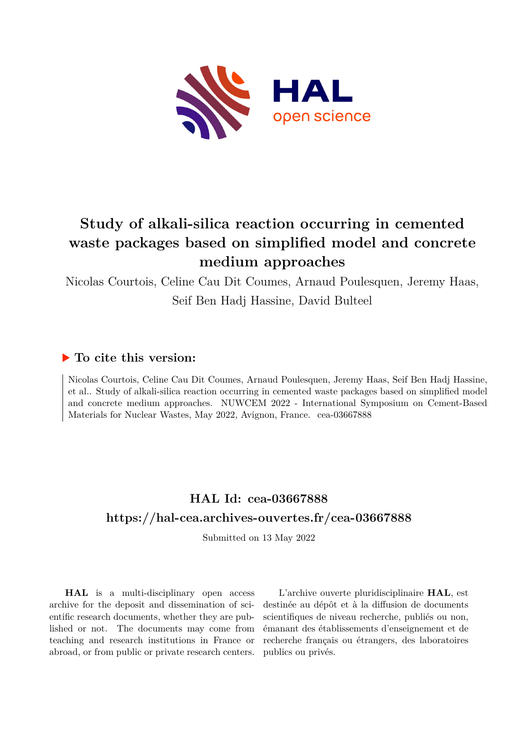

# **Study of alkali-silica reaction occurring in cemented waste packages based on simplified model and concrete medium approaches**

Nicolas Courtois, Celine Cau Dit Coumes, Arnaud Poulesquen, Jeremy Haas, Seif Ben Hadj Hassine, David Bulteel

### **To cite this version:**

Nicolas Courtois, Celine Cau Dit Coumes, Arnaud Poulesquen, Jeremy Haas, Seif Ben Hadj Hassine, et al.. Study of alkali-silica reaction occurring in cemented waste packages based on simplified model and concrete medium approaches. NUWCEM 2022 - International Symposium on Cement-Based Materials for Nuclear Wastes, May 2022, Avignon, France. cea-03667888

## **HAL Id: cea-03667888 <https://hal-cea.archives-ouvertes.fr/cea-03667888>**

Submitted on 13 May 2022

**HAL** is a multi-disciplinary open access archive for the deposit and dissemination of scientific research documents, whether they are published or not. The documents may come from teaching and research institutions in France or abroad, or from public or private research centers.

L'archive ouverte pluridisciplinaire **HAL**, est destinée au dépôt et à la diffusion de documents scientifiques de niveau recherche, publiés ou non, émanant des établissements d'enseignement et de recherche français ou étrangers, des laboratoires publics ou privés.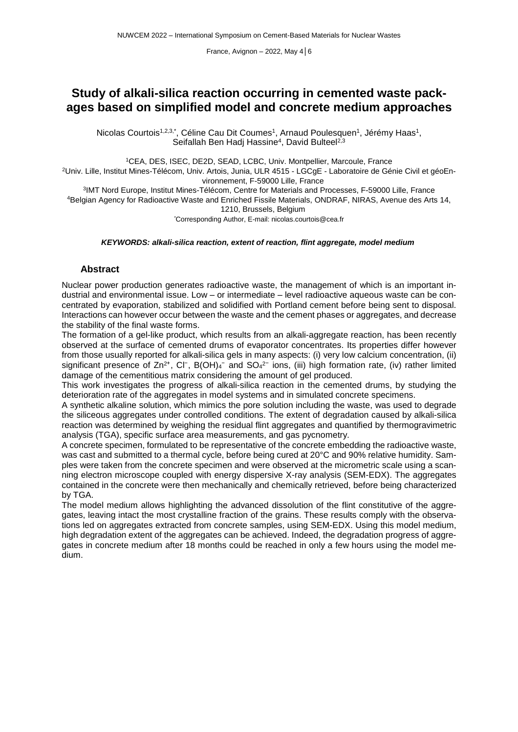## **Study of alkali-silica reaction occurring in cemented waste packages based on simplified model and concrete medium approaches**

Nicolas Courtois1<sup>,2,3,</sup>\*, Céline Cau Dit Coumes<sup>1</sup>, Arnaud Poulesquen<sup>1</sup>, Jérémy Haas<sup>1</sup>, Seifallah Ben Hadj Hassine<sup>4</sup>, David Bulteel<sup>2,3</sup>

<sup>1</sup>CEA, DES, ISEC, DE2D, SEAD, LCBC, Univ. Montpellier, Marcoule, France

<sup>2</sup>Univ. Lille, Institut Mines-Télécom, Univ. Artois, Junia, ULR 4515 - LGCgE - Laboratoire de Génie Civil et géoEnvironnement, F-59000 Lille, France

3 IMT Nord Europe, Institut Mines-Télécom, Centre for Materials and Processes, F-59000 Lille, France <sup>4</sup>Belgian Agency for Radioactive Waste and Enriched Fissile Materials, ONDRAF, NIRAS, Avenue des Arts 14, 1210, Brussels, Belgium

*\**Corresponding Author, E-mail: nicolas.courtois@cea.fr

#### *KEYWORDS: alkali-silica reaction, extent of reaction, flint aggregate, model medium*

#### **Abstract**

Nuclear power production generates radioactive waste, the management of which is an important industrial and environmental issue. Low – or intermediate – level radioactive aqueous waste can be concentrated by evaporation, stabilized and solidified with Portland cement before being sent to disposal. Interactions can however occur between the waste and the cement phases or aggregates, and decrease the stability of the final waste forms.

The formation of a gel-like product, which results from an alkali-aggregate reaction, has been recently observed at the surface of cemented drums of evaporator concentrates. Its properties differ however from those usually reported for alkali-silica gels in many aspects: (i) very low calcium concentration, (ii) significant presence of Zn<sup>2+</sup>, Cl<sup>-</sup>, B(OH)<sub>4</sub><sup>-</sup> and SO<sub>4</sub><sup>2-</sup> ions, (iii) high formation rate, (iv) rather limited damage of the cementitious matrix considering the amount of gel produced.

This work investigates the progress of alkali-silica reaction in the cemented drums, by studying the deterioration rate of the aggregates in model systems and in simulated concrete specimens.

A synthetic alkaline solution, which mimics the pore solution including the waste, was used to degrade the siliceous aggregates under controlled conditions. The extent of degradation caused by alkali-silica reaction was determined by weighing the residual flint aggregates and quantified by thermogravimetric analysis (TGA), specific surface area measurements, and gas pycnometry.

A concrete specimen, formulated to be representative of the concrete embedding the radioactive waste, was cast and submitted to a thermal cycle, before being cured at 20°C and 90% relative humidity. Samples were taken from the concrete specimen and were observed at the micrometric scale using a scanning electron microscope coupled with energy dispersive X-ray analysis (SEM-EDX). The aggregates contained in the concrete were then mechanically and chemically retrieved, before being characterized by TGA.

The model medium allows highlighting the advanced dissolution of the flint constitutive of the aggregates, leaving intact the most crystalline fraction of the grains. These results comply with the observations led on aggregates extracted from concrete samples, using SEM-EDX. Using this model medium, high degradation extent of the aggregates can be achieved. Indeed, the degradation progress of aggregates in concrete medium after 18 months could be reached in only a few hours using the model medium.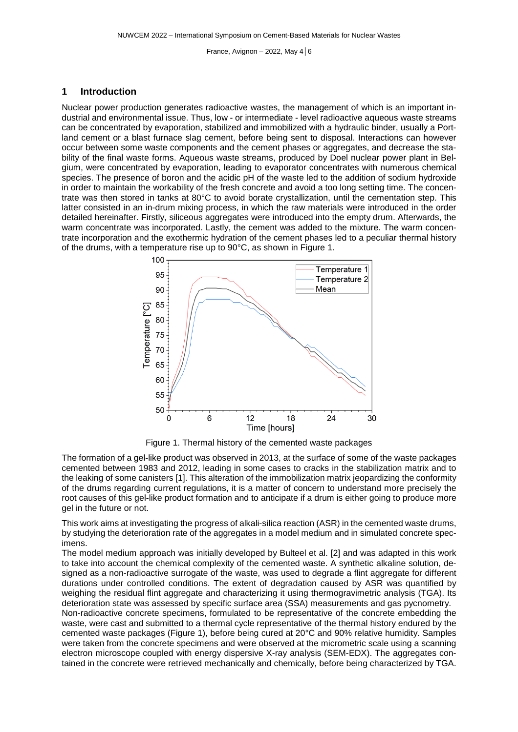#### **1 Introduction**

Nuclear power production generates radioactive wastes, the management of which is an important industrial and environmental issue. Thus, low - or intermediate - level radioactive aqueous waste streams can be concentrated by evaporation, stabilized and immobilized with a hydraulic binder, usually a Portland cement or a blast furnace slag cement, before being sent to disposal. Interactions can however occur between some waste components and the cement phases or aggregates, and decrease the stability of the final waste forms. Aqueous waste streams, produced by Doel nuclear power plant in Belgium, were concentrated by evaporation, leading to evaporator concentrates with numerous chemical species. The presence of boron and the acidic pH of the waste led to the addition of sodium hydroxide in order to maintain the workability of the fresh concrete and avoid a too long setting time. The concentrate was then stored in tanks at 80°C to avoid borate crystallization, until the cementation step. This latter consisted in an in-drum mixing process, in which the raw materials were introduced in the order detailed hereinafter. Firstly, siliceous aggregates were introduced into the empty drum. Afterwards, the warm concentrate was incorporated. Lastly, the cement was added to the mixture. The warm concentrate incorporation and the exothermic hydration of the cement phases led to a peculiar thermal history of the drums, with a temperature rise up to 90°C, as shown in [Figure](#page-2-0) 1.



<span id="page-2-0"></span>Figure 1. Thermal history of the cemented waste packages

The formation of a gel-like product was observed in 2013, at the surface of some of the waste packages cemented between 1983 and 2012, leading in some cases to cracks in the stabilization matrix and to the leaking of some canisters [1]. This alteration of the immobilization matrix jeopardizing the conformity of the drums regarding current regulations, it is a matter of concern to understand more precisely the root causes of this gel-like product formation and to anticipate if a drum is either going to produce more gel in the future or not.

This work aims at investigating the progress of alkali-silica reaction (ASR) in the cemented waste drums, by studying the deterioration rate of the aggregates in a model medium and in simulated concrete specimens.

The model medium approach was initially developed by Bulteel et al. [2] and was adapted in this work to take into account the chemical complexity of the cemented waste. A synthetic alkaline solution, designed as a non-radioactive surrogate of the waste, was used to degrade a flint aggregate for different durations under controlled conditions. The extent of degradation caused by ASR was quantified by weighing the residual flint aggregate and characterizing it using thermogravimetric analysis (TGA). Its deterioration state was assessed by specific surface area (SSA) measurements and gas pycnometry. Non-radioactive concrete specimens, formulated to be representative of the concrete embedding the

waste, were cast and submitted to a thermal cycle representative of the thermal history endured by the cemented waste packages [\(Figure](#page-2-0) 1), before being cured at 20°C and 90% relative humidity. Samples were taken from the concrete specimens and were observed at the micrometric scale using a scanning electron microscope coupled with energy dispersive X-ray analysis (SEM-EDX). The aggregates contained in the concrete were retrieved mechanically and chemically, before being characterized by TGA.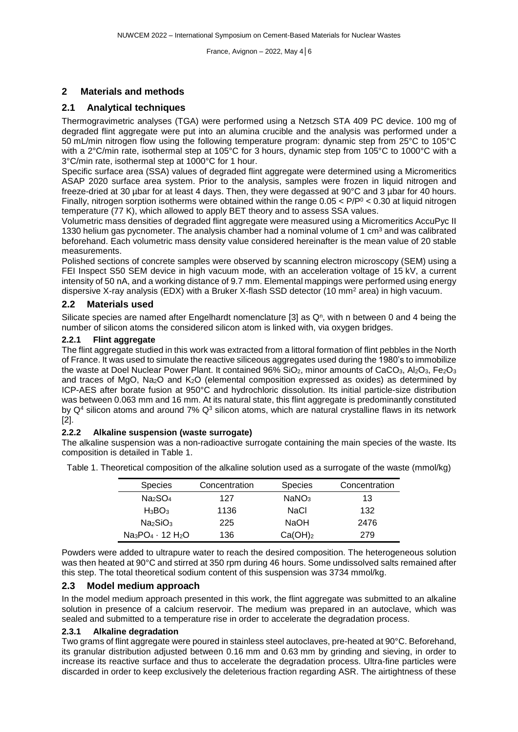#### **2 Materials and methods**

#### **2.1 Analytical techniques**

Thermogravimetric analyses (TGA) were performed using a Netzsch STA 409 PC device. 100 mg of degraded flint aggregate were put into an alumina crucible and the analysis was performed under a 50 mL/min nitrogen flow using the following temperature program: dynamic step from 25°C to 105°C with a 2°C/min rate, isothermal step at 105°C for 3 hours, dynamic step from 105°C to 1000°C with a 3°C/min rate, isothermal step at 1000°C for 1 hour.

Specific surface area (SSA) values of degraded flint aggregate were determined using a Micromeritics ASAP 2020 surface area system. Prior to the analysis, samples were frozen in liquid nitrogen and freeze-dried at 30 µbar for at least 4 days. Then, they were degassed at 90°C and 3 µbar for 40 hours. Finally, nitrogen sorption isotherms were obtained within the range  $0.05 < P/P^0 < 0.30$  at liquid nitrogen temperature (77 K), which allowed to apply BET theory and to assess SSA values.

Volumetric mass densities of degraded flint aggregate were measured using a Micromeritics AccuPyc II 1330 helium gas pycnometer. The analysis chamber had a nominal volume of 1 cm<sup>3</sup> and was calibrated beforehand. Each volumetric mass density value considered hereinafter is the mean value of 20 stable measurements.

Polished sections of concrete samples were observed by scanning electron microscopy (SEM) using a FEI Inspect S50 SEM device in high vacuum mode, with an acceleration voltage of 15 kV, a current intensity of 50 nA, and a working distance of 9.7 mm. Elemental mappings were performed using energy dispersive X-ray analysis (EDX) with a Bruker X-flash SSD detector (10 mm<sup>2</sup> area) in high vacuum.

#### **2.2 Materials used**

Silicate species are named after Engelhardt nomenclature [3] as Q<sup>n</sup>, with n between 0 and 4 being the number of silicon atoms the considered silicon atom is linked with, via oxygen bridges.

#### **2.2.1 Flint aggregate**

The flint aggregate studied in this work was extracted from a littoral formation of flint pebbles in the North of France. It was used to simulate the reactive siliceous aggregates used during the 1980's to immobilize the waste at Doel Nuclear Power Plant. It contained  $96\%$  SiO<sub>2</sub>, minor amounts of CaCO<sub>3</sub>, Al<sub>2</sub>O<sub>3</sub>, Fe<sub>2</sub>O<sub>3</sub> and traces of MgO, Na2O and K2O (elemental composition expressed as oxides) as determined by ICP-AES after borate fusion at 950°C and hydrochloric dissolution. Its initial particle-size distribution was between 0.063 mm and 16 mm. At its natural state, this flint aggregate is predominantly constituted by  $Q<sup>4</sup>$  silicon atoms and around 7%  $Q<sup>3</sup>$  silicon atoms, which are natural crystalline flaws in its network [2].

#### **2.2.2 Alkaline suspension (waste surrogate)**

The alkaline suspension was a non-radioactive surrogate containing the main species of the waste. Its composition is detailed in [Table](#page-3-0) 1.

| <b>Species</b>                   | Concentration | <b>Species</b>      | Concentration |
|----------------------------------|---------------|---------------------|---------------|
| Na <sub>2</sub> SO <sub>4</sub>  | 127           | NaNO <sub>3</sub>   | 13            |
| $H_3BO_3$                        | 1136          | NaCl                | 132           |
| Na <sub>2</sub> SiO <sub>3</sub> | 225           | <b>NaOH</b>         | 2476          |
| $Na_3PO_4 \cdot 12 H_2O$         | 136           | Ca(OH) <sub>2</sub> | 279           |

<span id="page-3-0"></span>Table 1. Theoretical composition of the alkaline solution used as a surrogate of the waste (mmol/kg)

Powders were added to ultrapure water to reach the desired composition. The heterogeneous solution was then heated at 90°C and stirred at 350 rpm during 46 hours. Some undissolved salts remained after this step. The total theoretical sodium content of this suspension was 3734 mmol/kg.

#### **2.3 Model medium approach**

In the model medium approach presented in this work, the flint aggregate was submitted to an alkaline solution in presence of a calcium reservoir. The medium was prepared in an autoclave, which was sealed and submitted to a temperature rise in order to accelerate the degradation process.

#### **2.3.1 Alkaline degradation**

Two grams of flint aggregate were poured in stainless steel autoclaves, pre-heated at 90°C. Beforehand, its granular distribution adjusted between 0.16 mm and 0.63 mm by grinding and sieving, in order to increase its reactive surface and thus to accelerate the degradation process. Ultra-fine particles were discarded in order to keep exclusively the deleterious fraction regarding ASR. The airtightness of these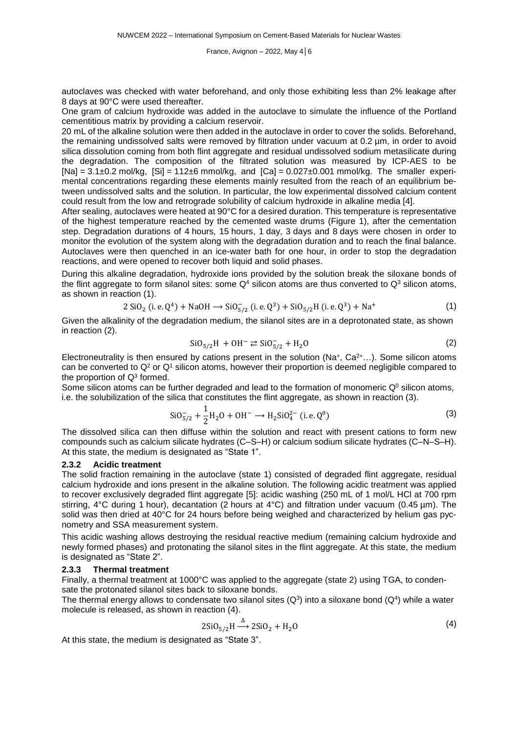autoclaves was checked with water beforehand, and only those exhibiting less than 2% leakage after 8 days at 90°C were used thereafter.

One gram of calcium hydroxide was added in the autoclave to simulate the influence of the Portland cementitious matrix by providing a calcium reservoir.

20 mL of the alkaline solution were then added in the autoclave in order to cover the solids. Beforehand, the remaining undissolved salts were removed by filtration under vacuum at 0.2 µm, in order to avoid silica dissolution coming from both flint aggregate and residual undissolved sodium metasilicate during the degradation. The composition of the filtrated solution was measured by ICP-AES to be  $[Na] = 3.1 \pm 0.2$  mol/kg,  $[Si] = 112 \pm 6$  mmol/kg, and  $[Ca] = 0.027 \pm 0.001$  mmol/kg. The smaller experimental concentrations regarding these elements mainly resulted from the reach of an equilibrium between undissolved salts and the solution. In particular, the low experimental dissolved calcium content could result from the low and retrograde solubility of calcium hydroxide in alkaline media [4].

After sealing, autoclaves were heated at 90°C for a desired duration. This temperature is representative of the highest temperature reached by the cemented waste drums [\(Figure](#page-2-0) 1), after the cementation step. Degradation durations of 4 hours, 15 hours, 1 day, 3 days and 8 days were chosen in order to monitor the evolution of the system along with the degradation duration and to reach the final balance. Autoclaves were then quenched in an ice-water bath for one hour, in order to stop the degradation reactions, and were opened to recover both liquid and solid phases.

During this alkaline degradation, hydroxide ions provided by the solution break the siloxane bonds of the flint aggregate to form silanol sites: some  $Q<sup>4</sup>$  silicon atoms are thus converted to  $Q<sup>3</sup>$  silicon atoms, as shown in reaction [\(1\)](#page-4-0).

$$
2 SiO2 (i.e. Q4) + NaOH \rightarrow SiO5/2- (i.e. Q3) + SiO5/2H (i.e. Q3) + Na+
$$
 (1)

Given the alkalinity of the degradation medium, the silanol sites are in a deprotonated state, as shown in reaction [\(2\)](#page-4-1).

<span id="page-4-2"></span><span id="page-4-1"></span><span id="page-4-0"></span>
$$
SiO_{5/2}H + OH^{-} \rightleftarrows SiO_{5/2}^{-} + H_{2}O
$$
 (2)

Electroneutrality is then ensured by cations present in the solution (Na+, Ca<sup>2+</sup>...). Some silicon atoms can be converted to  $Q^2$  or  $Q^1$  silicon atoms, however their proportion is deemed negligible compared to the proportion of  $Q^3$  formed.

Some silicon atoms can be further degraded and lead to the formation of monomeric  $Q<sup>0</sup>$  silicon atoms, i.e. the solubilization of the silica that constitutes the flint aggregate, as shown in reaction [\(3\)](#page-4-2).

$$
SiO_{5/2}^{-} + \frac{1}{2}H_2O + OH^{-} \rightarrow H_2SiO_4^{2-} \text{ (i.e. } Q^0)
$$
\n(3)

The dissolved silica can then diffuse within the solution and react with present cations to form new compounds such as calcium silicate hydrates (C–S–H) or calcium sodium silicate hydrates (C–N–S–H). At this state, the medium is designated as "State 1".

#### **2.3.2 Acidic treatment**

The solid fraction remaining in the autoclave (state 1) consisted of degraded flint aggregate, residual calcium hydroxide and ions present in the alkaline solution. The following acidic treatment was applied to recover exclusively degraded flint aggregate [5]: acidic washing (250 mL of 1 mol/L HCl at 700 rpm stirring, 4°C during 1 hour), decantation (2 hours at 4°C) and filtration under vacuum (0.45 µm). The solid was then dried at 40°C for 24 hours before being weighed and characterized by helium gas pycnometry and SSA measurement system.

This acidic washing allows destroying the residual reactive medium (remaining calcium hydroxide and newly formed phases) and protonating the silanol sites in the flint aggregate. At this state, the medium is designated as "State 2".

#### **2.3.3 Thermal treatment**

Finally, a thermal treatment at 1000°C was applied to the aggregate (state 2) using TGA, to condensate the protonated silanol sites back to siloxane bonds.

The thermal energy allows to condensate two silanol sites (Q<sup>3</sup>) into a siloxane bond (Q<sup>4</sup>) while a water molecule is released, as shown in reaction [\(4\)](#page-4-3).

<span id="page-4-3"></span>
$$
2SiO5/2H \stackrel{\Delta}{\longrightarrow} 2SiO2 + H2O
$$
 (4)

At this state, the medium is designated as "State 3".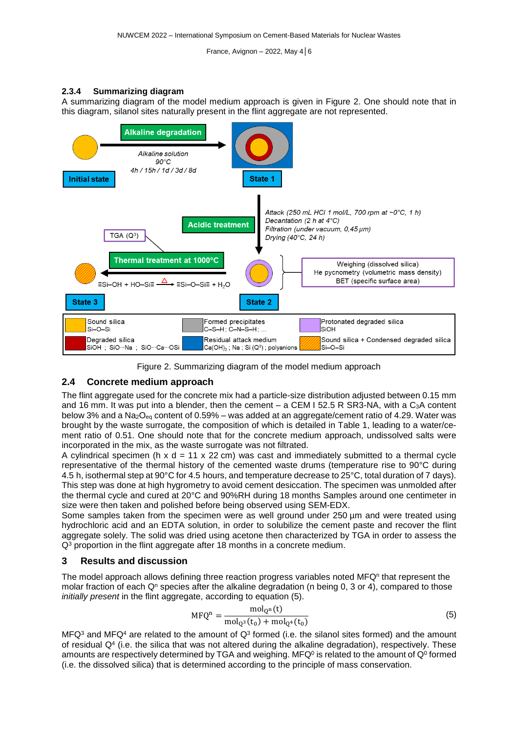#### **2.3.4 Summarizing diagram**

A summarizing diagram of the model medium approach is given in [Figure](#page-5-0) 2. One should note that in this diagram, silanol sites naturally present in the flint aggregate are not represented.





#### <span id="page-5-0"></span>**2.4 Concrete medium approach**

The flint aggregate used for the concrete mix had a particle-size distribution adjusted between 0.15 mm and 16 mm. It was put into a blender, then the cement – a CEM I 52.5 R SR3-NA, with a  $C_3A$  content below 3% and a Na<sub>2</sub>O<sub>eq</sub> content of 0.59% – was added at an aggregate/cement ratio of 4.29. Water was brought by the waste surrogate, the composition of which is detailed in [Table](#page-3-0) 1, leading to a water/cement ratio of 0.51. One should note that for the concrete medium approach, undissolved salts were incorporated in the mix, as the waste surrogate was not filtrated.

A cylindrical specimen (h x d = 11 x 22 cm) was cast and immediately submitted to a thermal cycle representative of the thermal history of the cemented waste drums (temperature rise to 90°C during 4.5 h, isothermal step at 90°C for 4.5 hours, and temperature decrease to 25°C, total duration of 7 days). This step was done at high hygrometry to avoid cement desiccation. The specimen was unmolded after the thermal cycle and cured at 20°C and 90%RH during 18 months Samples around one centimeter in size were then taken and polished before being observed using SEM-EDX.

Some samples taken from the specimen were as well ground under 250  $\mu$ m and were treated using hydrochloric acid and an EDTA solution, in order to solubilize the cement paste and recover the flint aggregate solely. The solid was dried using acetone then characterized by TGA in order to assess the  $Q<sup>3</sup>$  proportion in the flint aggregate after 18 months in a concrete medium.

#### **3 Results and discussion**

The model approach allows defining three reaction progress variables noted MFQ<sup>n</sup> that represent the molar fraction of each  $Q<sup>n</sup>$  species after the alkaline degradation (n being 0, 3 or 4), compared to those *initially present* in the flint aggregate, according to equation [\(5\)](#page-5-1).

<span id="page-5-1"></span>
$$
MFQ^{n} = \frac{mol_{Q^{n}}(t)}{mol_{Q^{3}}(t_{0}) + mol_{Q^{4}}(t_{0})}
$$
\n(5)

MFQ<sup>3</sup> and MFQ<sup>4</sup> are related to the amount of Q<sup>3</sup> formed (i.e. the silanol sites formed) and the amount of residual  $Q<sup>4</sup>$  (i.e. the silica that was not altered during the alkaline degradation), respectively. These amounts are respectively determined by TGA and weighing. MFQº is related to the amount of Qº formed (i.e. the dissolved silica) that is determined according to the principle of mass conservation.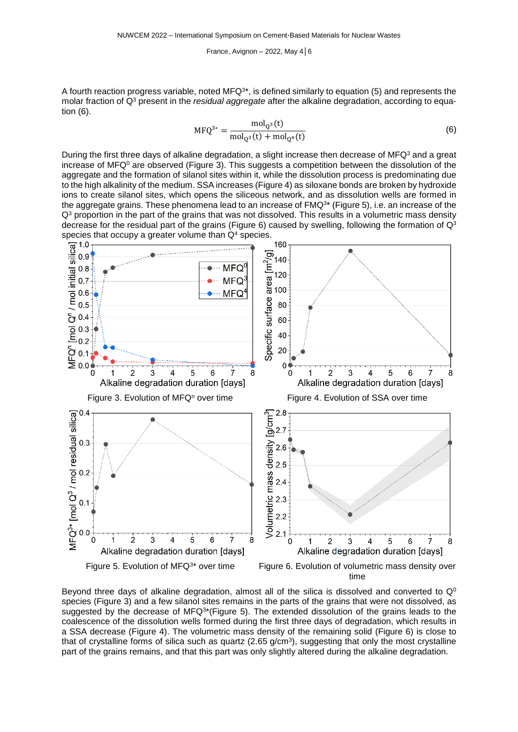A fourth reaction progress variable, noted MFQ $^{3\star}$ , is defined similarly to equation [\(5\)](#page-5-1) and represents the molar fraction of Q<sup>3</sup> present in the *residual aggregate* after the alkaline degradation, according to equation [\(6\)](#page-6-0).

<span id="page-6-0"></span>
$$
MFQ^{3*} = \frac{mol_{Q^3}(t)}{mol_{Q^3}(t) + mol_{Q^4}(t)}
$$
(6)

During the first three days of alkaline degradation, a slight increase then decrease of MFQ<sup>3</sup> and a great increase of MFQ $^{\circ}$  are observed [\(Figure](#page-6-1) 3). This suggests a competition between the dissolution of the aggregate and the formation of silanol sites within it, while the dissolution process is predominating due to the high alkalinity of the medium. SSA increases [\(Figure](#page-6-2) 4) as siloxane bonds are broken by hydroxide ions to create silanol sites, which opens the siliceous network, and as dissolution wells are formed in the aggregate grains. These phenomena lead to an increase of FMQ $^{3\star}$  [\(Figure](#page-6-3) 5), i.e. an increase of the  $Q<sup>3</sup>$  proportion in the part of the grains that was not dissolved. This results in a volumetric mass density decrease for the residual part of the grains [\(Figure](#page-6-4) 6) caused by swelling, following the formation of  $Q<sup>3</sup>$ 

<span id="page-6-1"></span>

<span id="page-6-3"></span>Beyond three days of alkaline degradation, almost all of the silica is dissolved and converted to  $Q^0$ species [\(Figure](#page-6-1) 3) and a few silanol sites remains in the parts of the grains that were not dissolved, as suggested by the decrease of MFQ<sup>3\*</sup>[\(Figure](#page-6-3) 5). The extended dissolution of the grains leads to the coalescence of the dissolution wells formed during the first three days of degradation, which results in a SSA decrease [\(Figure](#page-6-2) 4). The volumetric mass density of the remaining solid [\(Figure](#page-6-4) 6) is close to that of crystalline forms of silica such as quartz (2.65 g/cm<sup>3</sup>), suggesting that only the most crystalline part of the grains remains, and that this part was only slightly altered during the alkaline degradation.

<span id="page-6-4"></span><span id="page-6-2"></span>time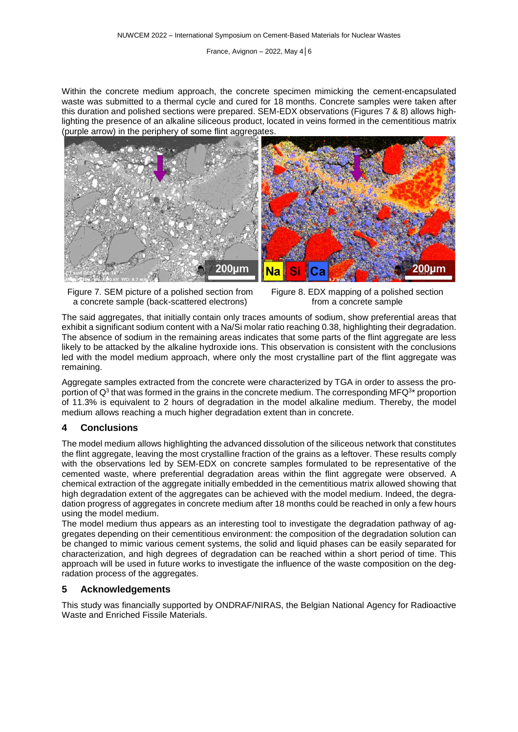Within the concrete medium approach, the concrete specimen mimicking the cement-encapsulated waste was submitted to a thermal cycle and cured for 18 months. Concrete samples were taken after this duration and polished sections were prepared. SEM-EDX observations (Figures [7](#page-7-0) & [8\)](#page-7-1) allows highlighting the presence of an alkaline siliceous product, located in veins formed in the cementitious matrix (purple arrow) in the periphery of some flint aggregates.



<span id="page-7-0"></span>

<span id="page-7-1"></span>

The said aggregates, that initially contain only traces amounts of sodium, show preferential areas that exhibit a significant sodium content with a Na/Si molar ratio reaching 0.38, highlighting their degradation. The absence of sodium in the remaining areas indicates that some parts of the flint aggregate are less likely to be attacked by the alkaline hydroxide ions. This observation is consistent with the conclusions led with the model medium approach, where only the most crystalline part of the flint aggregate was remaining.

Aggregate samples extracted from the concrete were characterized by TGA in order to assess the proportion of Q<sup>3</sup> that was formed in the grains in the concrete medium. The corresponding MFQ<sup>3</sup>\* proportion of 11.3% is equivalent to 2 hours of degradation in the model alkaline medium. Thereby, the model medium allows reaching a much higher degradation extent than in concrete.

#### **4 Conclusions**

The model medium allows highlighting the advanced dissolution of the siliceous network that constitutes the flint aggregate, leaving the most crystalline fraction of the grains as a leftover. These results comply with the observations led by SEM-EDX on concrete samples formulated to be representative of the cemented waste, where preferential degradation areas within the flint aggregate were observed. A chemical extraction of the aggregate initially embedded in the cementitious matrix allowed showing that high degradation extent of the aggregates can be achieved with the model medium. Indeed, the degradation progress of aggregates in concrete medium after 18 months could be reached in only a few hours using the model medium.

The model medium thus appears as an interesting tool to investigate the degradation pathway of aggregates depending on their cementitious environment: the composition of the degradation solution can be changed to mimic various cement systems, the solid and liquid phases can be easily separated for characterization, and high degrees of degradation can be reached within a short period of time. This approach will be used in future works to investigate the influence of the waste composition on the degradation process of the aggregates.

#### **5 Acknowledgements**

This study was financially supported by ONDRAF/NIRAS, the Belgian National Agency for Radioactive Waste and Enriched Fissile Materials.